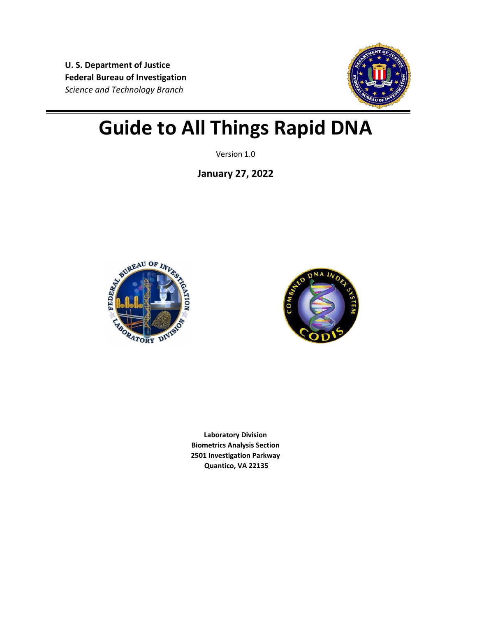**U. S. Department of Justice Federal Bureau of Investigation**  *Science and Technology Branch*



# **Guide to All Things Rapid DNA**

Version 1.0

**January 27, 2022**





**Laboratory Division Biometrics Analysis Section 2501 Investigation Parkway Quantico, VA 22135**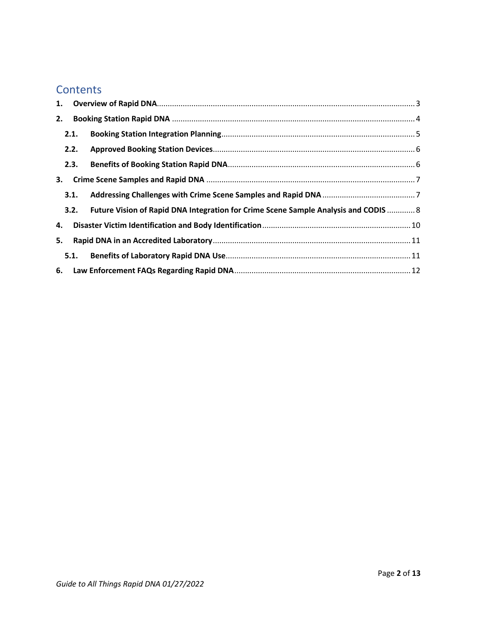### **Contents**

| 1. |      |                                                                                     |  |  |  |
|----|------|-------------------------------------------------------------------------------------|--|--|--|
| 2. |      |                                                                                     |  |  |  |
|    | 2.1. |                                                                                     |  |  |  |
|    | 2.2. |                                                                                     |  |  |  |
|    | 2.3. |                                                                                     |  |  |  |
| 3. |      |                                                                                     |  |  |  |
|    | 3.1. |                                                                                     |  |  |  |
|    | 3.2. | Future Vision of Rapid DNA Integration for Crime Scene Sample Analysis and CODIS  8 |  |  |  |
| 4. |      |                                                                                     |  |  |  |
| 5. |      |                                                                                     |  |  |  |
|    | 5.1. |                                                                                     |  |  |  |
|    |      |                                                                                     |  |  |  |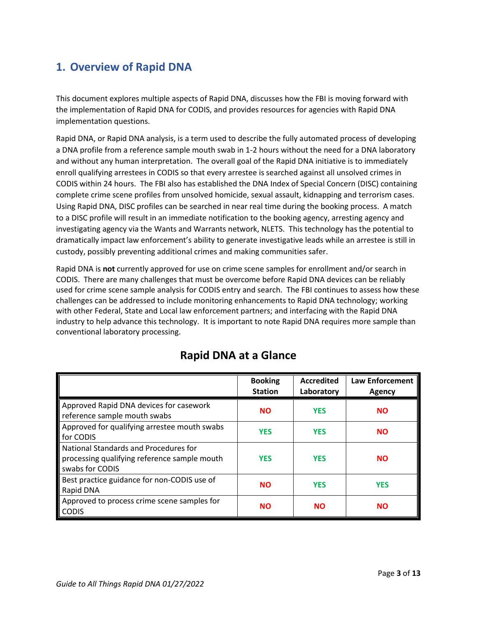## <span id="page-2-0"></span>**1. Overview of Rapid DNA**

This document explores multiple aspects of Rapid DNA, discusses how the FBI is moving forward with the implementation of Rapid DNA for CODIS, and provides resources for agencies with Rapid DNA implementation questions.

Rapid DNA, or Rapid DNA analysis, is a term used to describe the fully automated process of developing a DNA profile from a reference sample mouth swab in 1-2 hours without the need for a DNA laboratory and without any human interpretation. The overall goal of the Rapid DNA initiative is to immediately enroll qualifying arrestees in CODIS so that every arrestee is searched against all unsolved crimes in CODIS within 24 hours. The FBI also has established the DNA Index of Special Concern (DISC) containing complete crime scene profiles from unsolved homicide, sexual assault, kidnapping and terrorism cases. Using Rapid DNA, DISC profiles can be searched in near real time during the booking process. A match to a DISC profile will result in an immediate notification to the booking agency, arresting agency and investigating agency via the Wants and Warrants network, NLETS. This technology has the potential to dramatically impact law enforcement's ability to generate investigative leads while an arrestee is still in custody, possibly preventing additional crimes and making communities safer.

Rapid DNA is **not** currently approved for use on crime scene samples for enrollment and/or search in CODIS. There are many challenges that must be overcome before Rapid DNA devices can be reliably used for crime scene sample analysis for CODIS entry and search. The FBI continues to assess how these challenges can be addressed to include monitoring enhancements to Rapid DNA technology; working with other Federal, State and Local law enforcement partners; and interfacing with the Rapid DNA industry to help advance this technology. It is important to note Rapid DNA requires more sample than conventional laboratory processing.

|                                                                                                          | <b>Booking</b><br><b>Station</b> | <b>Accredited</b><br>Laboratory | <b>Law Enforcement</b><br>Agency |
|----------------------------------------------------------------------------------------------------------|----------------------------------|---------------------------------|----------------------------------|
| Approved Rapid DNA devices for casework<br>reference sample mouth swabs                                  | <b>NO</b>                        | <b>YES</b>                      | <b>NO</b>                        |
| Approved for qualifying arrestee mouth swabs<br>for CODIS                                                | <b>YES</b>                       | <b>YES</b>                      | <b>NO</b>                        |
| National Standards and Procedures for<br>processing qualifying reference sample mouth<br>swabs for CODIS | <b>YES</b>                       | <b>YES</b>                      | <b>NO</b>                        |
| Best practice guidance for non-CODIS use of<br>Rapid DNA                                                 | <b>NO</b>                        | <b>YES</b>                      | <b>YES</b>                       |
| Approved to process crime scene samples for<br><b>CODIS</b>                                              | <b>NO</b>                        | <b>NO</b>                       | <b>NO</b>                        |

# **Rapid DNA at a Glance**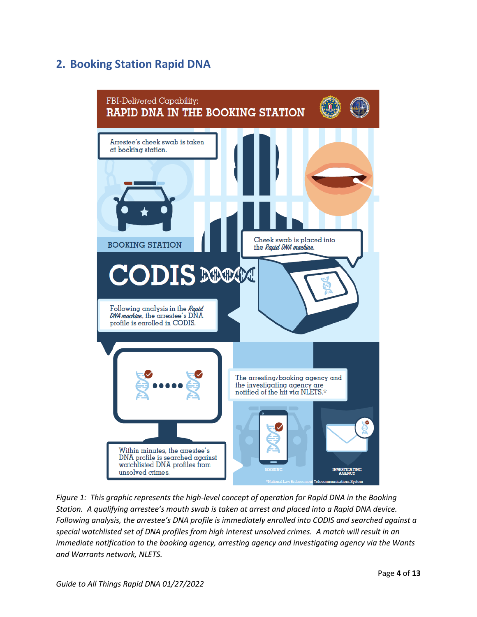# <span id="page-3-0"></span>**2. Booking Station Rapid DNA**



*Figure 1: This graphic represents the high-level concept of operation for Rapid DNA in the Booking Station. A qualifying arrestee's mouth swab is taken at arrest and placed into a Rapid DNA device. Following analysis, the arrestee's DNA profile is immediately enrolled into CODIS and searched against a special watchlisted set of DNA profiles from high interest unsolved crimes. A match will result in an immediate notification to the booking agency, arresting agency and investigating agency via the Wants and Warrants network, NLETS.*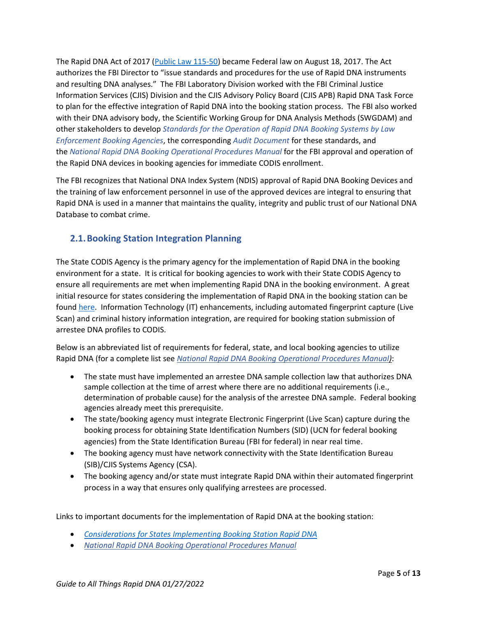The Rapid DNA Act of 2017 [\(Public Law 115-50\)](https://www.congress.gov/115/plaws/publ50/PLAW-115publ50.pdf) became Federal law on August 18, 2017. The Act authorizes the FBI Director to "issue standards and procedures for the use of Rapid DNA instruments and resulting DNA analyses." The FBI Laboratory Division worked with the FBI Criminal Justice Information Services (CJIS) Division and the CJIS Advisory Policy Board (CJIS APB) Rapid DNA Task Force to plan for the effective integration of Rapid DNA into the booking station process. The FBI also worked with their DNA advisory body, the Scientific Working Group for DNA Analysis Methods (SWGDAM) and other stakeholders to develop *[Standards for the Operation of Rapid DNA Booking Systems by Law](https://www.fbi.gov/file-repository/standards-for-operation-of-rapid-dna-booking-systems-by-law-enforcement-booking-agencies-eff-090120.pdf/view)  [Enforcement Booking Agencies](https://www.fbi.gov/file-repository/standards-for-operation-of-rapid-dna-booking-systems-by-law-enforcement-booking-agencies-eff-090120.pdf/view)*, the corresponding *[Audit Document](https://www.fbi.gov/file-repository/rapid-dna-audit-document-090120.pdf/view)* for these standards, and the *[National Rapid DNA Booking Operational Procedures Manual](https://www.fbi.gov/file-repository/national-rapid-dna-booking-operational-procedures-manual-eff-090120.pdf/view)* for the FBI approval and operation of the Rapid DNA devices in booking agencies for immediate CODIS enrollment.

The FBI recognizes that National DNA Index System (NDIS) approval of Rapid DNA Booking Devices and the training of law enforcement personnel in use of the approved devices are integral to ensuring that Rapid DNA is used in a manner that maintains the quality, integrity and public trust of our National DNA Database to combat crime.

### <span id="page-4-0"></span>**2.1.Booking Station Integration Planning**

The State CODIS Agency is the primary agency for the implementation of Rapid DNA in the booking environment for a state. It is critical for booking agencies to work with their State CODIS Agency to ensure all requirements are met when implementing Rapid DNA in the booking environment. A great initial resource for states considering the implementation of Rapid DNA in the booking station can be found [here.](https://www.fbi.gov/file-repository/rapid-dna-considerations-for-states-111821.pdf/view) Information Technology (IT) enhancements, including automated fingerprint capture (Live Scan) and criminal history information integration, are required for booking station submission of arrestee DNA profiles to CODIS.

Below is an abbreviated list of requirements for federal, state, and local booking agencies to utilize Rapid DNA (for a complete list see *[National Rapid DNA Booking Operational Procedures Manual\)](https://www.fbi.gov/file-repository/national-rapid-dna-booking-operational-procedures-manual-eff-090120.pdf/view)*:

- The state must have implemented an arrestee DNA sample collection law that authorizes DNA sample collection at the time of arrest where there are no additional requirements (i.e., determination of probable cause) for the analysis of the arrestee DNA sample. Federal booking agencies already meet this prerequisite.
- The state/booking agency must integrate Electronic Fingerprint (Live Scan) capture during the booking process for obtaining State Identification Numbers (SID) (UCN for federal booking agencies) from the State Identification Bureau (FBI for federal) in near real time.
- The booking agency must have network connectivity with the State Identification Bureau (SIB)/CJIS Systems Agency (CSA).
- The booking agency and/or state must integrate Rapid DNA within their automated fingerprint process in a way that ensures only qualifying arrestees are processed.

Links to important documents for the implementation of Rapid DNA at the booking station:

- *[Considerations for States Implementing Booking Station Rapid DNA](https://www.fbi.gov/file-repository/rapid-dna-considerations-for-states-111821.pdf/view)*
- *[National Rapid DNA Booking Operational Procedures Manual](https://www.fbi.gov/file-repository/national-rapid-dna-booking-operational-procedures-manual-eff-090120.pdf/view)*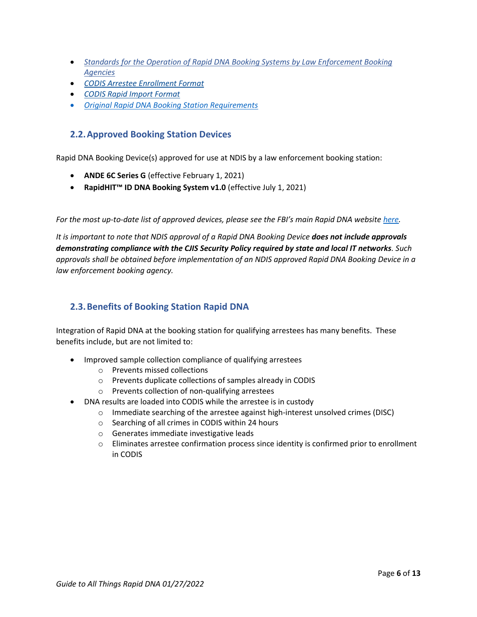- *[Standards for the Operation of Rapid DNA Booking Systems by Law Enforcement Booking](https://www.fbi.gov/file-repository/standards-for-operation-of-rapid-dna-booking-systems-by-law-enforcement-booking-agencies-eff-090120.pdf/view)  [Agencies](https://www.fbi.gov/file-repository/standards-for-operation-of-rapid-dna-booking-systems-by-law-enforcement-booking-agencies-eff-090120.pdf/view)*
- *[CODIS Arrestee Enrollment Format](https://www.fbi.gov/file-repository/codis-arrestee-enrollment-format-interface-specification-r24-170925-508.pdf/view)*
- *[CODIS Rapid Import Format](https://www.fbi.gov/file-repository/codis-rapid-import-cmf-interface-specification.pdf/view)*
- *[Original Rapid DNA Booking Station Requirements](https://www.fbi.gov/file-repository/rdna-requirements-9-20-17-final.pdf/view)*

#### <span id="page-5-0"></span>**2.2.Approved Booking Station Devices**

Rapid DNA Booking Device(s) approved for use at NDIS by a law enforcement booking station:

- **ANDE 6C Series G** (effective February 1, 2021)
- **RapidHIT™ ID DNA Booking System v1.0** (effective July 1, 2021)

*For the most up-to-date list of approved devices, please see the FBI's main Rapid DNA website [here.](https://www.fbi.gov/services/laboratory/biometric-analysis/codis/rapid-dna)*

*It is important to note that NDIS approval of a Rapid DNA Booking Device does not include approvals demonstrating compliance with the CJIS Security Policy required by state and local IT networks. Such approvals shall be obtained before implementation of an NDIS approved Rapid DNA Booking Device in a law enforcement booking agency.* 

#### <span id="page-5-1"></span>**2.3.Benefits of Booking Station Rapid DNA**

Integration of Rapid DNA at the booking station for qualifying arrestees has many benefits. These benefits include, but are not limited to:

- Improved sample collection compliance of qualifying arrestees
	- o Prevents missed collections
	- o Prevents duplicate collections of samples already in CODIS
	- o Prevents collection of non-qualifying arrestees
- DNA results are loaded into CODIS while the arrestee is in custody
	- $\circ$  Immediate searching of the arrestee against high-interest unsolved crimes (DISC)
	- o Searching of all crimes in CODIS within 24 hours
	- o Generates immediate investigative leads
	- $\circ$  Eliminates arrestee confirmation process since identity is confirmed prior to enrollment in CODIS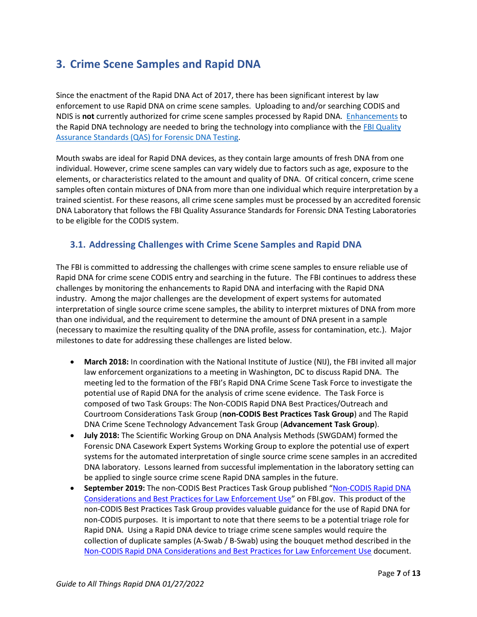## <span id="page-6-0"></span>**3. Crime Scene Samples and Rapid DNA**

Since the enactment of the Rapid DNA Act of 2017, there has been significant interest by law enforcement to use Rapid DNA on crime scene samples. Uploading to and/or searching CODIS and NDIS is **not** currently authorized for crime scene samples processed by Rapid DNA. [Enhancements](https://pubmed.ncbi.nlm.nih.gov/32674032/) to the Rapid DNA technology are needed to bring the technology into compliance with the FBI Quality [Assurance Standards \(QAS\) for Forensic DNA Testing.](https://www.fbi.gov/file-repository/quality-assurance-standards-for-forensic-dna-testing-laboratories.pdf/view)

Mouth swabs are ideal for Rapid DNA devices, as they contain large amounts of fresh DNA from one individual. However, crime scene samples can vary widely due to factors such as age, exposure to the elements, or characteristics related to the amount and quality of DNA. Of critical concern, crime scene samples often contain mixtures of DNA from more than one individual which require interpretation by a trained scientist. For these reasons, all crime scene samples must be processed by an accredited forensic DNA Laboratory that follows the FBI Quality Assurance Standards for Forensic DNA Testing Laboratories to be eligible for the CODIS system.

### <span id="page-6-1"></span>**3.1. Addressing Challenges with Crime Scene Samples and Rapid DNA**

The FBI is committed to addressing the challenges with crime scene samples to ensure reliable use of Rapid DNA for crime scene CODIS entry and searching in the future. The FBI continues to address these challenges by monitoring the enhancements to Rapid DNA and interfacing with the Rapid DNA industry. Among the major challenges are the development of expert systems for automated interpretation of single source crime scene samples, the ability to interpret mixtures of DNA from more than one individual, and the requirement to determine the amount of DNA present in a sample (necessary to maximize the resulting quality of the DNA profile, assess for contamination, etc.). Major milestones to date for addressing these challenges are listed below.

- **March 2018:** In coordination with the National Institute of Justice (NIJ), the FBI invited all major law enforcement organizations to a meeting in Washington, DC to discuss Rapid DNA. The meeting led to the formation of the FBI's Rapid DNA Crime Scene Task Force to investigate the potential use of Rapid DNA for the analysis of crime scene evidence. The Task Force is composed of two Task Groups: The Non-CODIS Rapid DNA Best Practices/Outreach and Courtroom Considerations Task Group (**non-CODIS Best Practices Task Group**) and The Rapid DNA Crime Scene Technology Advancement Task Group (**Advancement Task Group**).
- **July 2018:** The Scientific Working Group on DNA Analysis Methods (SWGDAM) formed the Forensic DNA Casework Expert Systems Working Group to explore the potential use of expert systems for the automated interpretation of single source crime scene samples in an accredited DNA laboratory. Lessons learned from successful implementation in the laboratory setting can be applied to single source crime scene Rapid DNA samples in the future.
- **September 2019:** The non-CODIS Best Practices Task Group published "[Non-CODIS Rapid DNA](https://www.fbi.gov/file-repository/non-codis-rapid-dna-best-practices-092419.pdf/view)  [Considerations and Best Practices for Law Enforcement Use](https://www.fbi.gov/file-repository/non-codis-rapid-dna-best-practices-092419.pdf/view)" on FBI.gov. This product of the non-CODIS Best Practices Task Group provides valuable guidance for the use of Rapid DNA for non-CODIS purposes. It is important to note that there seems to be a potential triage role for Rapid DNA. Using a Rapid DNA device to triage crime scene samples would require the collection of duplicate samples (A-Swab / B-Swab) using the bouquet method described in the [Non-CODIS Rapid DNA Considerations and Best Practices for Law Enforcement Use](https://www.fbi.gov/file-repository/non-codis-rapid-dna-best-practices-092419.pdf/view) document.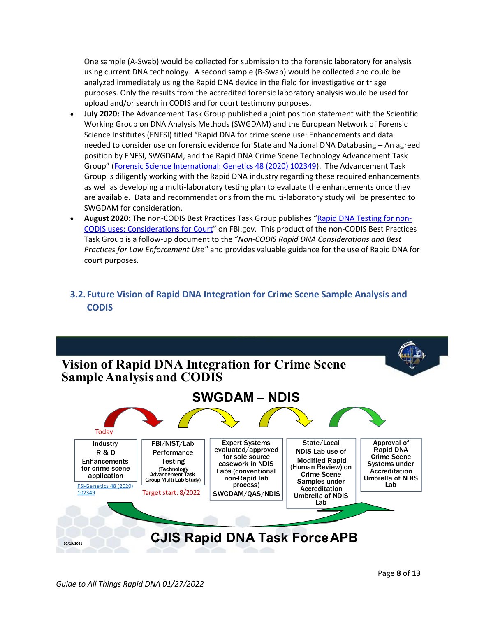One sample (A-Swab) would be collected for submission to the forensic laboratory for analysis using current DNA technology. A second sample (B-Swab) would be collected and could be analyzed immediately using the Rapid DNA device in the field for investigative or triage purposes. Only the results from the accredited forensic laboratory analysis would be used for upload and/or search in CODIS and for court testimony purposes.

- **July 2020:** The Advancement Task Group published a joint position statement with the Scientific Working Group on DNA Analysis Methods (SWGDAM) and the European Network of Forensic Science Institutes (ENFSI) titled "Rapid DNA for crime scene use: Enhancements and data needed to consider use on forensic evidence for State and National DNA Databasing – An agreed position by ENFSI, SWGDAM, and the Rapid DNA Crime Scene Technology Advancement Task Group" [\(Forensic Science International: Genetics 48 \(2020\) 102349\)](https://pubmed.ncbi.nlm.nih.gov/32674032/). The Advancement Task Group is diligently working with the Rapid DNA industry regarding these required enhancements as well as developing a multi-laboratory testing plan to evaluate the enhancements once they are available. Data and recommendations from the multi-laboratory study will be presented to SWGDAM for consideration.
- **August 2020:** The non-CODIS Best Practices Task Group publishes "[Rapid DNA Testing for non-](https://www.fbi.gov/file-repository/rapid-dna-testing-for-non-codis-uses-considerations-for-court-073120.pdf/view)CODIS uses: [Considerations](https://www.fbi.gov/file-repository/rapid-dna-testing-for-non-codis-uses-considerations-for-court-073120.pdf/view) for Court" on FBI.gov. This product of the non-CODIS Best Practices Task Group is a follow-up document to the "*Non-CODIS Rapid DNA Considerations and Best Practices for Law Enforcement Use"* and provides valuable guidance for the use of Rapid DNA for court purposes.

### <span id="page-7-0"></span>**3.2.Future Vision of Rapid DNA Integration for Crime Scene Sample Analysis and CODIS**

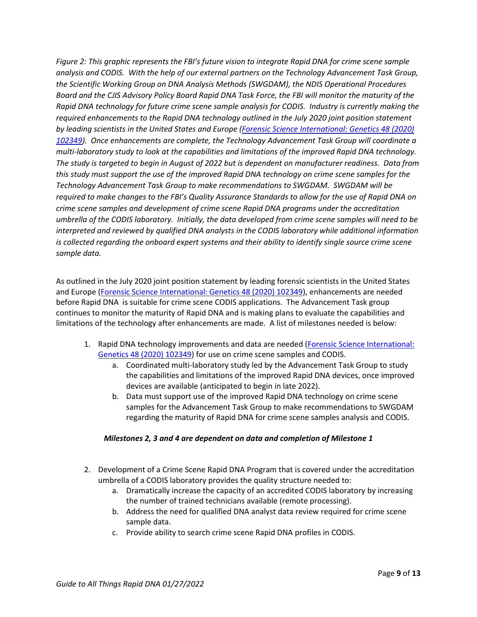*Figure 2: This graphic represents the FBI's future vision to integrate Rapid DNA for crime scene sample analysis and CODIS. With the help of our external partners on the Technology Advancement Task Group, the Scientific Working Group on DNA Analysis Methods (SWGDAM), the NDIS Operational Procedures Board and the CJIS Advisory Policy Board Rapid DNA Task Force, the FBI will monitor the maturity of the Rapid DNA technology for future crime scene sample analysis for CODIS. Industry is currently making the required enhancements to the Rapid DNA technology outlined in the July 2020 joint position statement by leading scientists in the United States and Europe [\(Forensic Science International: Genetics 48 \(2020\)](https://pubmed.ncbi.nlm.nih.gov/32674032/)  [102349\)](https://pubmed.ncbi.nlm.nih.gov/32674032/). Once enhancements are complete, the Technology Advancement Task Group will coordinate a multi-laboratory study to look at the capabilities and limitations of the improved Rapid DNA technology. The study is targeted to begin in August of 2022 but is dependent on manufacturer readiness. Data from this study must support the use of the improved Rapid DNA technology on crime scene samples for the Technology Advancement Task Group to make recommendations to SWGDAM. SWGDAM will be required to make changes to the FBI's Quality Assurance Standards to allow for the use of Rapid DNA on crime scene samples and development of crime scene Rapid DNA programs under the accreditation umbrella of the CODIS laboratory. Initially, the data developed from crime scene samples will need to be interpreted and reviewed by qualified DNA analysts in the CODIS laboratory while additional information is collected regarding the onboard expert systems and their ability to identify single source crime scene sample data.* 

As outlined in the July 2020 joint position statement by leading forensic scientists in the United States and Europe [\(Forensic Science International: Genetics 48 \(2020\) 102349\)](https://pubmed.ncbi.nlm.nih.gov/32674032/), enhancements are needed before Rapid DNA is suitable for crime scene CODIS applications. The Advancement Task group continues to monitor the maturity of Rapid DNA and is making plans to evaluate the capabilities and limitations of the technology after enhancements are made. A list of milestones needed is below:

- 1. Rapid DNA technology improvements and data are needed [\(Forensic Science International:](https://pubmed.ncbi.nlm.nih.gov/32674032/)  [Genetics 48 \(2020\) 102349\)](https://pubmed.ncbi.nlm.nih.gov/32674032/) for use on crime scene samples and CODIS.
	- a. Coordinated multi-laboratory study led by the Advancement Task Group to study the capabilities and limitations of the improved Rapid DNA devices, once improved devices are available (anticipated to begin in late 2022).
	- b. Data must support use of the improved Rapid DNA technology on crime scene samples for the Advancement Task Group to make recommendations to SWGDAM regarding the maturity of Rapid DNA for crime scene samples analysis and CODIS.

#### *Milestones 2, 3 and 4 are dependent on data and completion of Milestone 1*

- 2. Development of a Crime Scene Rapid DNA Program that is covered under the accreditation umbrella of a CODIS laboratory provides the quality structure needed to:
	- a. Dramatically increase the capacity of an accredited CODIS laboratory by increasing the number of trained technicians available (remote processing).
	- b. Address the need for qualified DNA analyst data review required for crime scene sample data.
	- c. Provide ability to search crime scene Rapid DNA profiles in CODIS.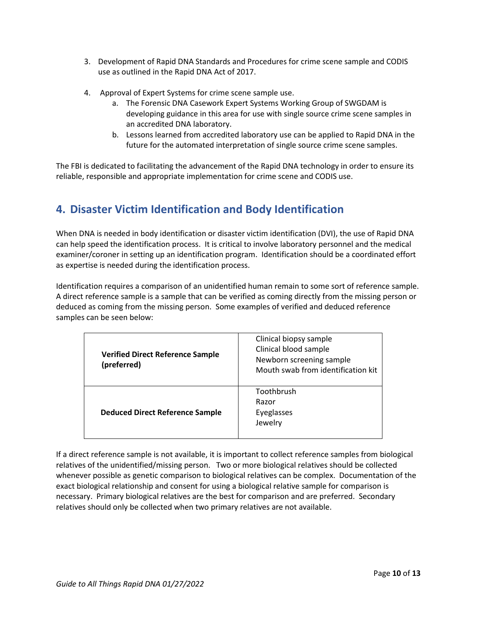- 3. Development of Rapid DNA Standards and Procedures for crime scene sample and CODIS use as outlined in the Rapid DNA Act of 2017.
- 4. Approval of Expert Systems for crime scene sample use.
	- a. The Forensic DNA Casework Expert Systems Working Group of SWGDAM is developing guidance in this area for use with single source crime scene samples in an accredited DNA laboratory.
	- b. Lessons learned from accredited laboratory use can be applied to Rapid DNA in the future for the automated interpretation of single source crime scene samples.

The FBI is dedicated to facilitating the advancement of the Rapid DNA technology in order to ensure its reliable, responsible and appropriate implementation for crime scene and CODIS use.

# <span id="page-9-0"></span>**4. Disaster Victim Identification and Body Identification**

When DNA is needed in body identification or disaster victim identification (DVI), the use of Rapid DNA can help speed the identification process. It is critical to involve laboratory personnel and the medical examiner/coroner in setting up an identification program. Identification should be a coordinated effort as expertise is needed during the identification process.

Identification requires a comparison of an unidentified human remain to some sort of reference sample. A direct reference sample is a sample that can be verified as coming directly from the missing person or deduced as coming from the missing person. Some examples of verified and deduced reference samples can be seen below:

| <b>Verified Direct Reference Sample</b><br>(preferred) | Clinical biopsy sample<br>Clinical blood sample<br>Newborn screening sample<br>Mouth swab from identification kit |  |  |
|--------------------------------------------------------|-------------------------------------------------------------------------------------------------------------------|--|--|
| <b>Deduced Direct Reference Sample</b>                 | Toothbrush<br>Razor<br>Eyeglasses<br>Jewelry                                                                      |  |  |

If a direct reference sample is not available, it is important to collect reference samples from biological relatives of the unidentified/missing person. Two or more biological relatives should be collected whenever possible as genetic comparison to biological relatives can be complex. Documentation of the exact biological relationship and consent for using a biological relative sample for comparison is necessary. Primary biological relatives are the best for comparison and are preferred. Secondary relatives should only be collected when two primary relatives are not available.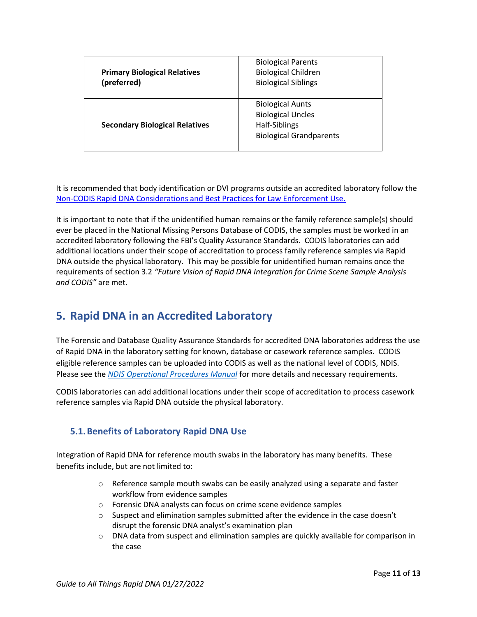| <b>Primary Biological Relatives</b><br>(preferred) | <b>Biological Parents</b><br><b>Biological Children</b><br><b>Biological Siblings</b>                  |  |  |
|----------------------------------------------------|--------------------------------------------------------------------------------------------------------|--|--|
| <b>Secondary Biological Relatives</b>              | <b>Biological Aunts</b><br><b>Biological Uncles</b><br>Half-Siblings<br><b>Biological Grandparents</b> |  |  |

It is recommended that body identification or DVI programs outside an accredited laboratory follow the [Non-CODIS Rapid DNA Considerations and Best Practices for Law Enforcement Use.](https://www.fbi.gov/file-repository/non-codis-rapid-dna-best-practices-092419.pdf/view)

It is important to note that if the unidentified human remains or the family reference sample(s) should ever be placed in the National Missing Persons Database of CODIS, the samples must be worked in an accredited laboratory following the FBI's Quality Assurance Standards. CODIS laboratories can add additional locations under their scope of accreditation to process family reference samples via Rapid DNA outside the physical laboratory. This may be possible for unidentified human remains once the requirements of section 3.2 *"Future Vision of Rapid DNA Integration for Crime Scene Sample Analysis and CODIS"* are met.

### <span id="page-10-0"></span>**5. Rapid DNA in an Accredited Laboratory**

The Forensic and Database Quality Assurance Standards for accredited DNA laboratories address the use of Rapid DNA in the laboratory setting for known, database or casework reference samples. CODIS eligible reference samples can be uploaded into CODIS as well as the national level of CODIS, NDIS. Please see the *[NDIS Operational Procedures Manual](https://www.fbi.gov/file-repository/ndis-operational-procedures-manual.pdf/view)* for more details and necessary requirements.

CODIS laboratories can add additional locations under their scope of accreditation to process casework reference samples via Rapid DNA outside the physical laboratory.

### <span id="page-10-1"></span>**5.1.Benefits of Laboratory Rapid DNA Use**

Integration of Rapid DNA for reference mouth swabs in the laboratory has many benefits. These benefits include, but are not limited to:

- $\circ$  Reference sample mouth swabs can be easily analyzed using a separate and faster workflow from evidence samples
- o Forensic DNA analysts can focus on crime scene evidence samples
- $\circ$  Suspect and elimination samples submitted after the evidence in the case doesn't disrupt the forensic DNA analyst's examination plan
- o DNA data from suspect and elimination samples are quickly available for comparison in the case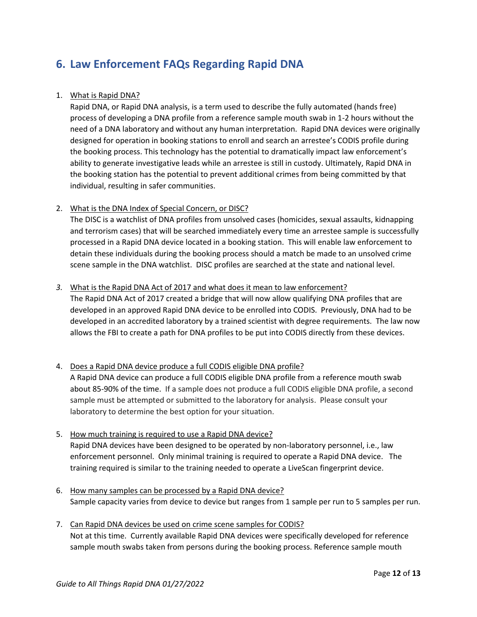## <span id="page-11-0"></span>**6. Law Enforcement FAQs Regarding Rapid DNA**

#### 1. What is Rapid DNA?

Rapid DNA, or Rapid DNA analysis, is a term used to describe the fully automated (hands free) process of developing a DNA profile from a reference sample mouth swab in 1-2 hours without the need of a DNA laboratory and without any human interpretation. Rapid DNA devices were originally designed for operation in booking stations to enroll and search an arrestee's CODIS profile during the booking process. This technology has the potential to dramatically impact law enforcement's ability to generate investigative leads while an arrestee is still in custody. Ultimately, Rapid DNA in the booking station has the potential to prevent additional crimes from being committed by that individual, resulting in safer communities.

#### 2. What is the DNA Index of Special Concern, or DISC?

The DISC is a watchlist of DNA profiles from unsolved cases (homicides, sexual assaults, kidnapping and terrorism cases) that will be searched immediately every time an arrestee sample is successfully processed in a Rapid DNA device located in a booking station. This will enable law enforcement to detain these individuals during the booking process should a match be made to an unsolved crime scene sample in the DNA watchlist. DISC profiles are searched at the state and national level.

#### *3.* What is the Rapid DNA Act of 2017 and what does it mean to law enforcement?

The Rapid DNA Act of 2017 created a bridge that will now allow qualifying DNA profiles that are developed in an approved Rapid DNA device to be enrolled into CODIS. Previously, DNA had to be developed in an accredited laboratory by a trained scientist with degree requirements. The law now allows the FBI to create a path for DNA profiles to be put into CODIS directly from these devices.

#### 4. Does a Rapid DNA device produce a full CODIS eligible DNA profile?

A Rapid DNA device can produce a full CODIS eligible DNA profile from a reference mouth swab about 85-90% of the time. If a sample does not produce a full CODIS eligible DNA profile, a second sample must be attempted or submitted to the laboratory for analysis. Please consult your laboratory to determine the best option for your situation.

- 5. How much training is required to use a Rapid DNA device? Rapid DNA devices have been designed to be operated by non-laboratory personnel, i.e., law enforcement personnel. Only minimal training is required to operate a Rapid DNA device. The training required is similar to the training needed to operate a LiveScan fingerprint device.
- 6. How many samples can be processed by a Rapid DNA device? Sample capacity varies from device to device but ranges from 1 sample per run to 5 samples per run.
- 7. Can Rapid DNA devices be used on crime scene samples for CODIS? Not at this time. Currently available Rapid DNA devices were specifically developed for reference sample mouth swabs taken from persons during the booking process. Reference sample mouth